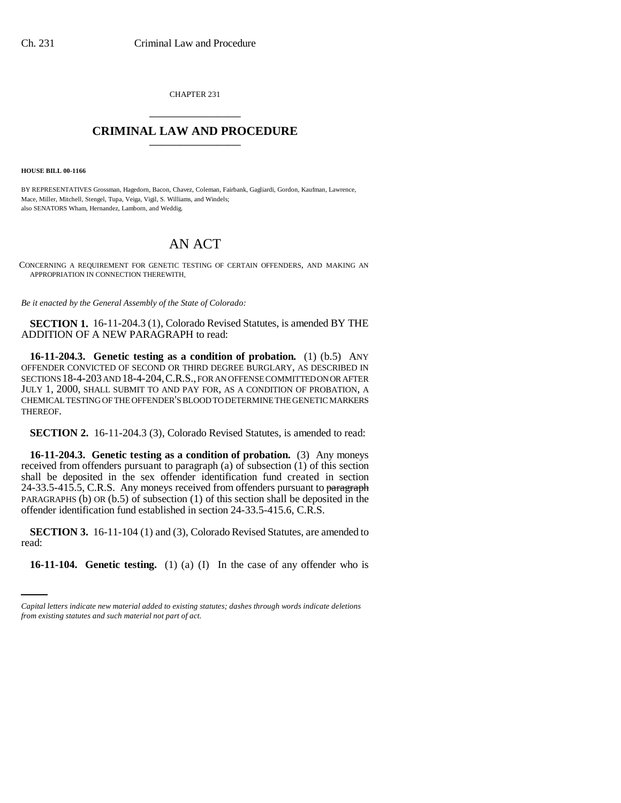CHAPTER 231 \_\_\_\_\_\_\_\_\_\_\_\_\_\_\_

## **CRIMINAL LAW AND PROCEDURE** \_\_\_\_\_\_\_\_\_\_\_\_\_\_\_

**HOUSE BILL 00-1166** 

BY REPRESENTATIVES Grossman, Hagedorn, Bacon, Chavez, Coleman, Fairbank, Gagliardi, Gordon, Kaufman, Lawrence, Mace, Miller, Mitchell, Stengel, Tupa, Veiga, Vigil, S. Williams, and Windels; also SENATORS Wham, Hernandez, Lamborn, and Weddig.

## AN ACT

CONCERNING A REQUIREMENT FOR GENETIC TESTING OF CERTAIN OFFENDERS, AND MAKING AN APPROPRIATION IN CONNECTION THEREWITH.

*Be it enacted by the General Assembly of the State of Colorado:*

**SECTION 1.** 16-11-204.3 (1), Colorado Revised Statutes, is amended BY THE ADDITION OF A NEW PARAGRAPH to read:

**16-11-204.3. Genetic testing as a condition of probation.** (1) (b.5) ANY OFFENDER CONVICTED OF SECOND OR THIRD DEGREE BURGLARY, AS DESCRIBED IN SECTIONS 18-4-203 AND 18-4-204,C.R.S., FOR AN OFFENSE COMMITTED ON OR AFTER JULY 1, 2000, SHALL SUBMIT TO AND PAY FOR, AS A CONDITION OF PROBATION, A CHEMICAL TESTING OF THE OFFENDER'S BLOOD TO DETERMINE THE GENETIC MARKERS THEREOF.

**SECTION 2.** 16-11-204.3 (3), Colorado Revised Statutes, is amended to read:

**16-11-204.3. Genetic testing as a condition of probation.** (3) Any moneys received from offenders pursuant to paragraph (a) of subsection (1) of this section shall be deposited in the sex offender identification fund created in section 24-33.5-415.5, C.R.S. Any moneys received from offenders pursuant to paragraph PARAGRAPHS (b) OR (b.5) of subsection (1) of this section shall be deposited in the offender identification fund established in section 24-33.5-415.6, C.R.S.

read: **SECTION 3.** 16-11-104 (1) and (3), Colorado Revised Statutes, are amended to

**16-11-104. Genetic testing.** (1) (a) (I) In the case of any offender who is

*Capital letters indicate new material added to existing statutes; dashes through words indicate deletions from existing statutes and such material not part of act.*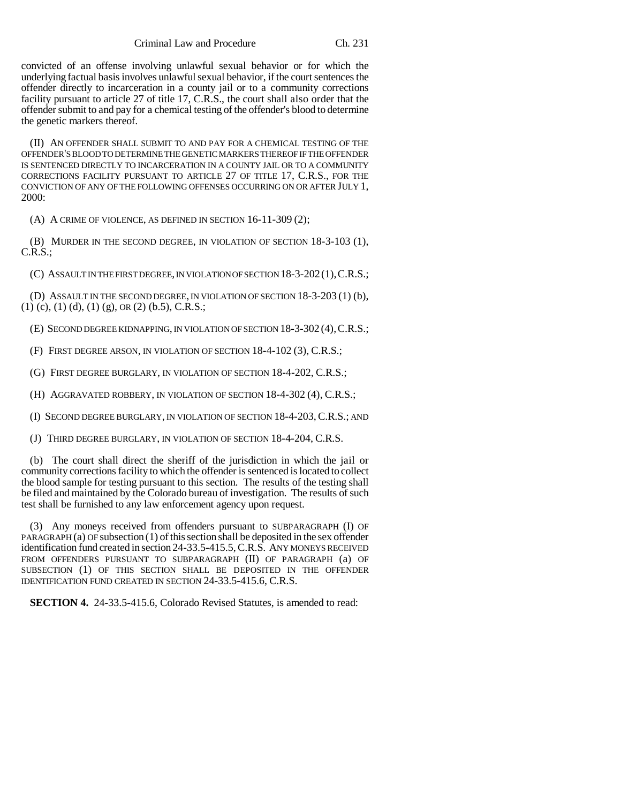convicted of an offense involving unlawful sexual behavior or for which the underlying factual basis involves unlawful sexual behavior, if the court sentences the offender directly to incarceration in a county jail or to a community corrections facility pursuant to article 27 of title 17, C.R.S., the court shall also order that the offender submit to and pay for a chemical testing of the offender's blood to determine the genetic markers thereof.

(II) AN OFFENDER SHALL SUBMIT TO AND PAY FOR A CHEMICAL TESTING OF THE OFFENDER'S BLOOD TO DETERMINE THE GENETIC MARKERS THEREOF IF THE OFFENDER IS SENTENCED DIRECTLY TO INCARCERATION IN A COUNTY JAIL OR TO A COMMUNITY CORRECTIONS FACILITY PURSUANT TO ARTICLE 27 OF TITLE 17, C.R.S., FOR THE CONVICTION OF ANY OF THE FOLLOWING OFFENSES OCCURRING ON OR AFTER JULY 1, 2000:

(A) A CRIME OF VIOLENCE, AS DEFINED IN SECTION 16-11-309 (2);

(B) MURDER IN THE SECOND DEGREE, IN VIOLATION OF SECTION 18-3-103 (1), C.R.S.;

(C) ASSAULT IN THE FIRST DEGREE, IN VIOLATION OF SECTION 18-3-202(1),C.R.S.;

(D) ASSAULT IN THE SECOND DEGREE, IN VIOLATION OF SECTION 18-3-203 (1) (b),  $(1)$  (c), (1) (d), (1) (g), OR (2) (b.5), C.R.S.;

(E) SECOND DEGREE KIDNAPPING, IN VIOLATION OF SECTION 18-3-302 (4),C.R.S.;

(F) FIRST DEGREE ARSON, IN VIOLATION OF SECTION 18-4-102 (3), C.R.S.;

(G) FIRST DEGREE BURGLARY, IN VIOLATION OF SECTION 18-4-202, C.R.S.;

(H) AGGRAVATED ROBBERY, IN VIOLATION OF SECTION 18-4-302 (4), C.R.S.;

(I) SECOND DEGREE BURGLARY, IN VIOLATION OF SECTION 18-4-203,C.R.S.; AND

(J) THIRD DEGREE BURGLARY, IN VIOLATION OF SECTION 18-4-204, C.R.S.

(b) The court shall direct the sheriff of the jurisdiction in which the jail or community corrections facility to which the offender is sentenced is located to collect the blood sample for testing pursuant to this section. The results of the testing shall be filed and maintained by the Colorado bureau of investigation. The results of such test shall be furnished to any law enforcement agency upon request.

(3) Any moneys received from offenders pursuant to SUBPARAGRAPH (I) OF PARAGRAPH (a) OF subsection (1) of this section shall be deposited in the sex offender identification fund created in section 24-33.5-415.5, C.R.S. ANY MONEYS RECEIVED FROM OFFENDERS PURSUANT TO SUBPARAGRAPH (II) OF PARAGRAPH (a) OF SUBSECTION (1) OF THIS SECTION SHALL BE DEPOSITED IN THE OFFENDER IDENTIFICATION FUND CREATED IN SECTION 24-33.5-415.6, C.R.S.

**SECTION 4.** 24-33.5-415.6, Colorado Revised Statutes, is amended to read: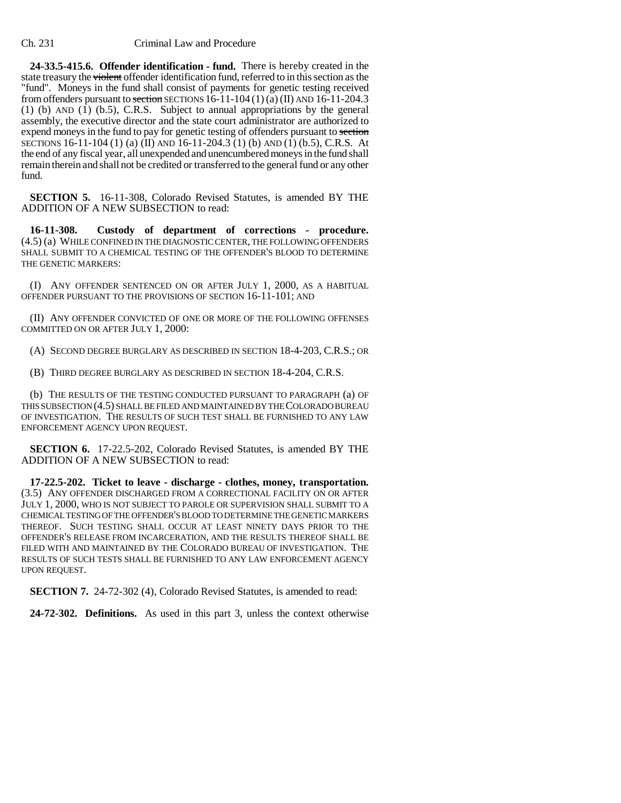**24-33.5-415.6. Offender identification - fund.** There is hereby created in the state treasury the violent offender identification fund, referred to in this section as the "fund". Moneys in the fund shall consist of payments for genetic testing received from offenders pursuant to section SECTIONS  $16-11-104(1)(a)$  (II) AND  $16-11-204.3$ (1) (b) AND (1) (b.5), C.R.S. Subject to annual appropriations by the general assembly, the executive director and the state court administrator are authorized to expend moneys in the fund to pay for genetic testing of offenders pursuant to section SECTIONS 16-11-104 (1) (a) (II) AND 16-11-204.3 (1) (b) AND (1) (b.5), C.R.S. At the end of any fiscal year, all unexpended and unencumbered moneys in the fund shall remain therein and shall not be credited or transferred to the general fund or any other fund.

**SECTION 5.** 16-11-308, Colorado Revised Statutes, is amended BY THE ADDITION OF A NEW SUBSECTION to read:

**16-11-308. Custody of department of corrections - procedure.** (4.5) (a) WHILE CONFINED IN THE DIAGNOSTIC CENTER, THE FOLLOWING OFFENDERS SHALL SUBMIT TO A CHEMICAL TESTING OF THE OFFENDER'S BLOOD TO DETERMINE THE GENETIC MARKERS:

(I) ANY OFFENDER SENTENCED ON OR AFTER JULY 1, 2000, AS A HABITUAL OFFENDER PURSUANT TO THE PROVISIONS OF SECTION 16-11-101; AND

(II) ANY OFFENDER CONVICTED OF ONE OR MORE OF THE FOLLOWING OFFENSES COMMITTED ON OR AFTER JULY 1, 2000:

(A) SECOND DEGREE BURGLARY AS DESCRIBED IN SECTION 18-4-203, C.R.S.; OR

(B) THIRD DEGREE BURGLARY AS DESCRIBED IN SECTION 18-4-204, C.R.S.

(b) THE RESULTS OF THE TESTING CONDUCTED PURSUANT TO PARAGRAPH (a) OF THIS SUBSECTION (4.5) SHALL BE FILED AND MAINTAINED BY THE COLORADO BUREAU OF INVESTIGATION. THE RESULTS OF SUCH TEST SHALL BE FURNISHED TO ANY LAW ENFORCEMENT AGENCY UPON REQUEST.

**SECTION 6.** 17-22.5-202, Colorado Revised Statutes, is amended BY THE ADDITION OF A NEW SUBSECTION to read:

**17-22.5-202. Ticket to leave - discharge - clothes, money, transportation.** (3.5) ANY OFFENDER DISCHARGED FROM A CORRECTIONAL FACILITY ON OR AFTER JULY 1, 2000, WHO IS NOT SUBJECT TO PAROLE OR SUPERVISION SHALL SUBMIT TO A CHEMICAL TESTING OF THE OFFENDER'S BLOOD TO DETERMINE THE GENETIC MARKERS THEREOF. SUCH TESTING SHALL OCCUR AT LEAST NINETY DAYS PRIOR TO THE OFFENDER'S RELEASE FROM INCARCERATION, AND THE RESULTS THEREOF SHALL BE FILED WITH AND MAINTAINED BY THE COLORADO BUREAU OF INVESTIGATION. THE RESULTS OF SUCH TESTS SHALL BE FURNISHED TO ANY LAW ENFORCEMENT AGENCY UPON REQUEST.

**SECTION 7.** 24-72-302 (4), Colorado Revised Statutes, is amended to read:

**24-72-302. Definitions.** As used in this part 3, unless the context otherwise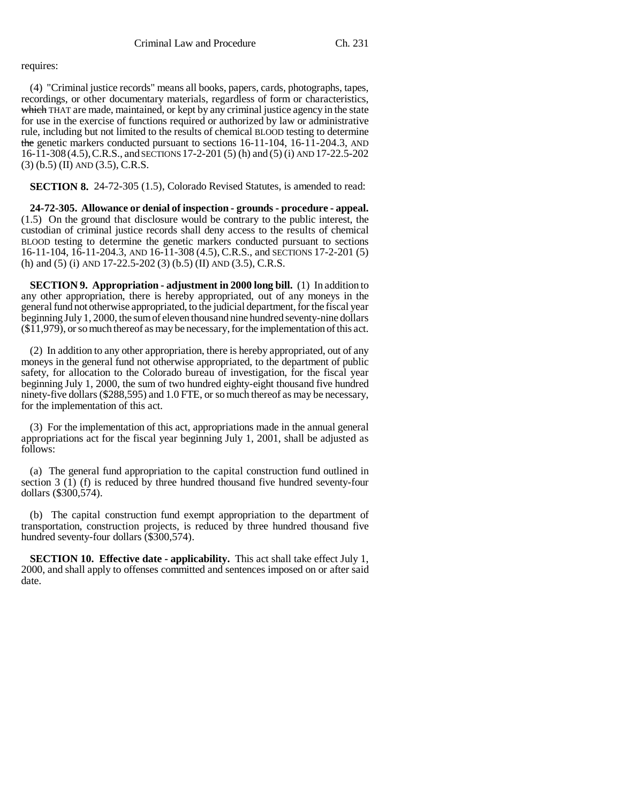## requires:

(4) "Criminal justice records" means all books, papers, cards, photographs, tapes, recordings, or other documentary materials, regardless of form or characteristics, which THAT are made, maintained, or kept by any criminal justice agency in the state for use in the exercise of functions required or authorized by law or administrative rule, including but not limited to the results of chemical BLOOD testing to determine the genetic markers conducted pursuant to sections 16-11-104, 16-11-204.3, AND 16-11-308 (4.5),C.R.S., and SECTIONS 17-2-201 (5) (h) and (5) (i) AND 17-22.5-202 (3) (b.5) (II) AND (3.5), C.R.S.

**SECTION 8.** 24-72-305 (1.5), Colorado Revised Statutes, is amended to read:

**24-72-305. Allowance or denial of inspection - grounds - procedure - appeal.** (1.5) On the ground that disclosure would be contrary to the public interest, the custodian of criminal justice records shall deny access to the results of chemical BLOOD testing to determine the genetic markers conducted pursuant to sections 16-11-104, 16-11-204.3, AND 16-11-308 (4.5), C.R.S., and SECTIONS 17-2-201 (5) (h) and (5) (i) AND 17-22.5-202 (3) (b.5) (II) AND (3.5), C.R.S.

**SECTION 9. Appropriation - adjustment in 2000 long bill.** (1) In addition to any other appropriation, there is hereby appropriated, out of any moneys in the general fund not otherwise appropriated, to the judicial department, for the fiscal year beginning July 1, 2000, the sum of eleven thousand nine hundred seventy-nine dollars (\$11,979), or so much thereof as may be necessary, for the implementation of this act.

(2) In addition to any other appropriation, there is hereby appropriated, out of any moneys in the general fund not otherwise appropriated, to the department of public safety, for allocation to the Colorado bureau of investigation, for the fiscal year beginning July 1, 2000, the sum of two hundred eighty-eight thousand five hundred ninety-five dollars (\$288,595) and 1.0 FTE, or so much thereof as may be necessary, for the implementation of this act.

(3) For the implementation of this act, appropriations made in the annual general appropriations act for the fiscal year beginning July 1, 2001, shall be adjusted as follows:

(a) The general fund appropriation to the capital construction fund outlined in section 3  $(I)$  (f) is reduced by three hundred thousand five hundred seventy-four dollars (\$300,574).

(b) The capital construction fund exempt appropriation to the department of transportation, construction projects, is reduced by three hundred thousand five hundred seventy-four dollars (\$300,574).

**SECTION 10. Effective date - applicability.** This act shall take effect July 1, 2000, and shall apply to offenses committed and sentences imposed on or after said date.